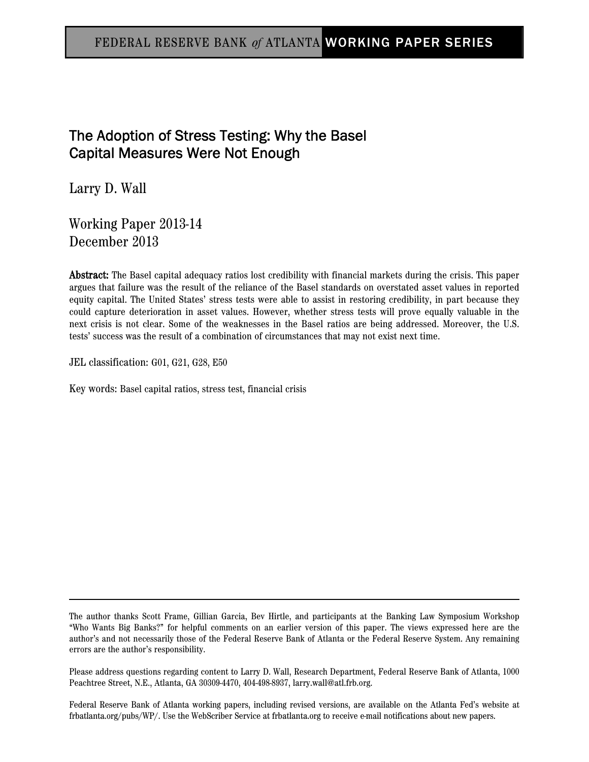# FEDERAL RESERVE BANK o*f* ATLANTA WORKING PAPER SERIES

# The Adoption of Stress Testing: Why the Basel Capital Measures Were Not Enough

Larry D. Wall

Working Paper 2013-14 December 2013

Abstract: The Basel capital adequacy ratios lost credibility with financial markets during the crisis. This paper argues that failure was the result of the reliance of the Basel standards on overstated asset values in reported equity capital. The United States' stress tests were able to assist in restoring credibility, in part because they could capture deterioration in asset values. However, whether stress tests will prove equally valuable in the next crisis is not clear. Some of the weaknesses in the Basel ratios are being addressed. Moreover, the U.S. tests' success was the result of a combination of circumstances that may not exist next time.

JEL classification: G01, G21, G28, E50

Key words: Basel capital ratios, stress test, financial crisis

The author thanks Scott Frame, Gillian Garcia, Bev Hirtle, and participants at the Banking Law Symposium Workshop "Who Wants Big Banks?" for helpful comments on an earlier version of this paper. The views expressed here are the author's and not necessarily those of the Federal Reserve Bank of Atlanta or the Federal Reserve System. Any remaining errors are the author's responsibility.

Please address questions regarding content to Larry D. Wall, Research Department, Federal Reserve Bank of Atlanta, 1000 Peachtree Street, N.E., Atlanta, GA 30309-4470, 404-498-8937, larry.wall@atl.frb.org.

Federal Reserve Bank of Atlanta working papers, including revised versions, are available on the Atlanta Fed's website at frbatlanta.org/pubs/WP/. Use the WebScriber Service at frbatlanta.org to receive e-mail notifications about new papers.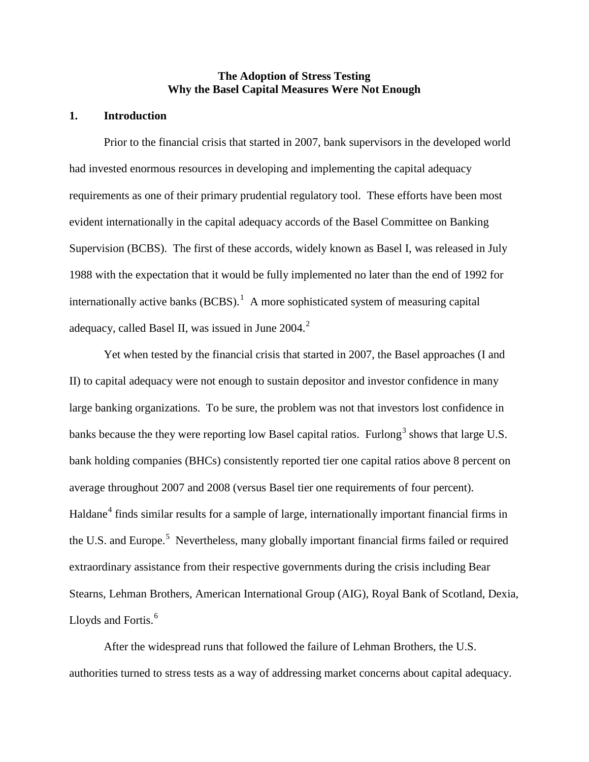## **The Adoption of Stress Testing Why the Basel Capital Measures Were Not Enough**

## **1. Introduction**

Prior to the financial crisis that started in 2007, bank supervisors in the developed world had invested enormous resources in developing and implementing the capital adequacy requirements as one of their primary prudential regulatory tool. These efforts have been most evident internationally in the capital adequacy accords of the Basel Committee on Banking Supervision (BCBS). The first of these accords, widely known as Basel I, was released in July 1988 with the expectation that it would be fully implemented no later than the end of 1992 for internationally active banks  $(BCBS)$ .<sup>[1](#page-18-0)</sup> A more sophisticated system of measuring capital adequacy, called Basel II, was issued in June [2](#page-18-1)004.<sup>2</sup>

Yet when tested by the financial crisis that started in 2007, the Basel approaches (I and II) to capital adequacy were not enough to sustain depositor and investor confidence in many large banking organizations. To be sure, the problem was not that investors lost confidence in banks because the they were reporting low Basel capital ratios. Furlong<sup>[3](#page-18-2)</sup> shows that large U.S. bank holding companies (BHCs) consistently reported tier one capital ratios above 8 percent on average throughout 2007 and 2008 (versus Basel tier one requirements of four percent). Haldane<sup>[4](#page-18-3)</sup> finds similar results for a sample of large, internationally important financial firms in the U.S. and Europe.<sup>[5](#page-18-4)</sup> Nevertheless, many globally important financial firms failed or required extraordinary assistance from their respective governments during the crisis including Bear Stearns, Lehman Brothers, American International Group (AIG), Royal Bank of Scotland, Dexia, Lloyds and Fortis.<sup>[6](#page-18-5)</sup>

After the widespread runs that followed the failure of Lehman Brothers, the U.S. authorities turned to stress tests as a way of addressing market concerns about capital adequacy.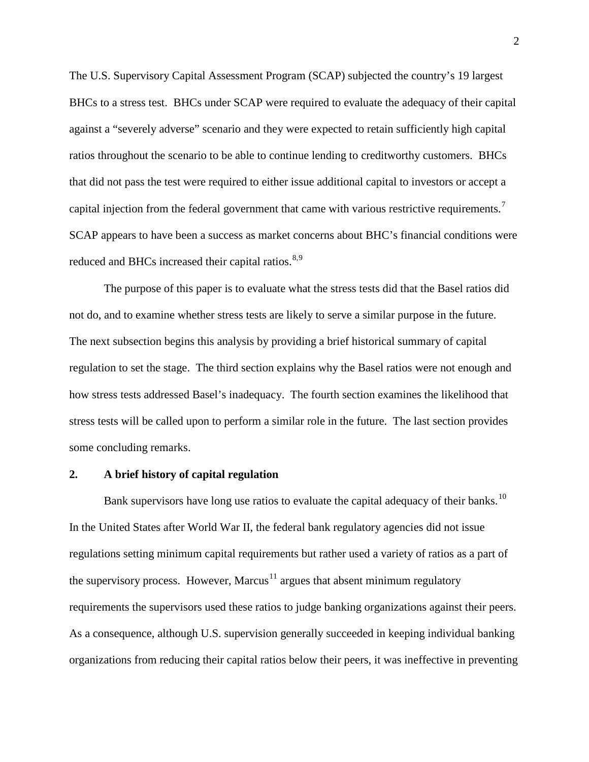The U.S. Supervisory Capital Assessment Program (SCAP) subjected the country's 19 largest BHCs to a stress test. BHCs under SCAP were required to evaluate the adequacy of their capital against a "severely adverse" scenario and they were expected to retain sufficiently high capital ratios throughout the scenario to be able to continue lending to creditworthy customers. BHCs that did not pass the test were required to either issue additional capital to investors or accept a capital injection from the federal government that came with various restrictive requirements.<sup>[7](#page-19-0)</sup> SCAP appears to have been a success as market concerns about BHC's financial conditions were reduced and BHCs increased their capital ratios.<sup>[8](#page-19-1),[9](#page-19-2)</sup>

The purpose of this paper is to evaluate what the stress tests did that the Basel ratios did not do, and to examine whether stress tests are likely to serve a similar purpose in the future. The next subsection begins this analysis by providing a brief historical summary of capital regulation to set the stage. The third section explains why the Basel ratios were not enough and how stress tests addressed Basel's inadequacy. The fourth section examines the likelihood that stress tests will be called upon to perform a similar role in the future. The last section provides some concluding remarks.

#### **2. A brief history of capital regulation**

Bank supervisors have long use ratios to evaluate the capital adequacy of their banks.<sup>10</sup> In the United States after World War II, the federal bank regulatory agencies did not issue regulations setting minimum capital requirements but rather used a variety of ratios as a part of the supervisory process. However, Marcus<sup>[11](#page-19-4)</sup> argues that absent minimum regulatory requirements the supervisors used these ratios to judge banking organizations against their peers. As a consequence, although U.S. supervision generally succeeded in keeping individual banking organizations from reducing their capital ratios below their peers, it was ineffective in preventing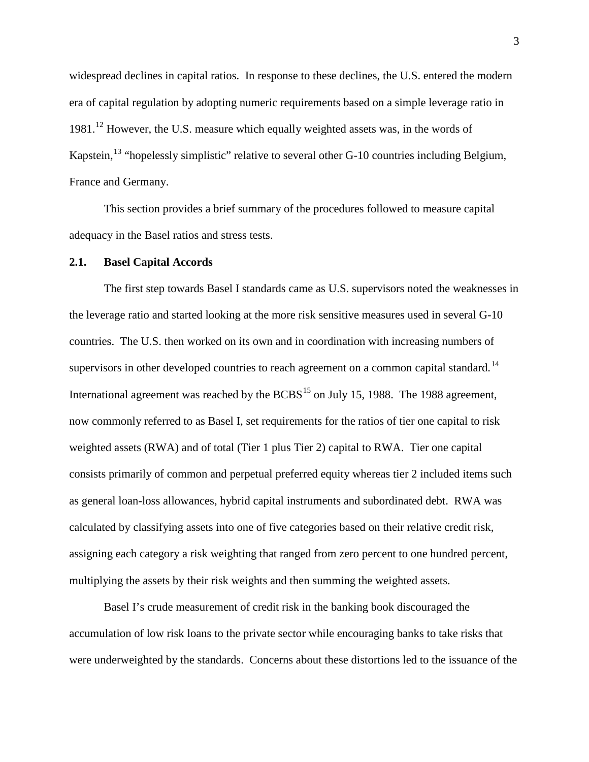widespread declines in capital ratios. In response to these declines, the U.S. entered the modern era of capital regulation by adopting numeric requirements based on a simple leverage ratio in 1981.<sup>[12](#page-20-0)</sup> However, the U.S. measure which equally weighted assets was, in the words of Kapstein,<sup>[13](#page-20-1)</sup> "hopelessly simplistic" relative to several other G-10 countries including Belgium, France and Germany.

This section provides a brief summary of the procedures followed to measure capital adequacy in the Basel ratios and stress tests.

#### **2.1. Basel Capital Accords**

The first step towards Basel I standards came as U.S. supervisors noted the weaknesses in the leverage ratio and started looking at the more risk sensitive measures used in several G-10 countries. The U.S. then worked on its own and in coordination with increasing numbers of supervisors in other developed countries to reach agreement on a common capital standard.<sup>[14](#page-20-2)</sup> International agreement was reached by the  $BCBS<sup>15</sup>$  $BCBS<sup>15</sup>$  $BCBS<sup>15</sup>$  on July 15, 1988. The 1988 agreement, now commonly referred to as Basel I, set requirements for the ratios of tier one capital to risk weighted assets (RWA) and of total (Tier 1 plus Tier 2) capital to RWA. Tier one capital consists primarily of common and perpetual preferred equity whereas tier 2 included items such as general loan-loss allowances, hybrid capital instruments and subordinated debt. RWA was calculated by classifying assets into one of five categories based on their relative credit risk, assigning each category a risk weighting that ranged from zero percent to one hundred percent, multiplying the assets by their risk weights and then summing the weighted assets.

Basel I's crude measurement of credit risk in the banking book discouraged the accumulation of low risk loans to the private sector while encouraging banks to take risks that were underweighted by the standards. Concerns about these distortions led to the issuance of the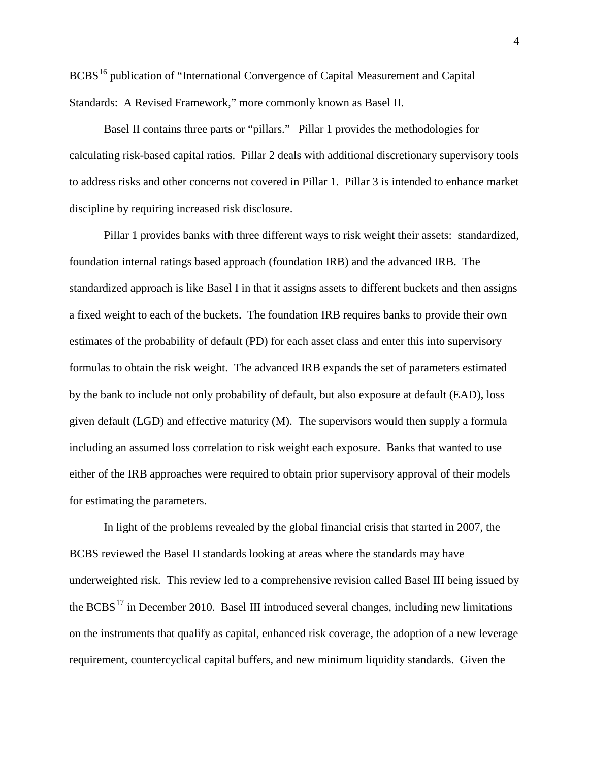BCBS<sup>[16](#page-20-4)</sup> publication of "International Convergence of Capital Measurement and Capital Standards: A Revised Framework," more commonly known as Basel II.

Basel II contains three parts or "pillars." Pillar 1 provides the methodologies for calculating risk-based capital ratios. Pillar 2 deals with additional discretionary supervisory tools to address risks and other concerns not covered in Pillar 1. Pillar 3 is intended to enhance market discipline by requiring increased risk disclosure.

Pillar 1 provides banks with three different ways to risk weight their assets: standardized, foundation internal ratings based approach (foundation IRB) and the advanced IRB. The standardized approach is like Basel I in that it assigns assets to different buckets and then assigns a fixed weight to each of the buckets. The foundation IRB requires banks to provide their own estimates of the probability of default (PD) for each asset class and enter this into supervisory formulas to obtain the risk weight. The advanced IRB expands the set of parameters estimated by the bank to include not only probability of default, but also exposure at default (EAD), loss given default (LGD) and effective maturity (M). The supervisors would then supply a formula including an assumed loss correlation to risk weight each exposure. Banks that wanted to use either of the IRB approaches were required to obtain prior supervisory approval of their models for estimating the parameters.

In light of the problems revealed by the global financial crisis that started in 2007, the BCBS reviewed the Basel II standards looking at areas where the standards may have underweighted risk. This review led to a comprehensive revision called Basel III being issued by the  $BCBS<sup>17</sup>$  $BCBS<sup>17</sup>$  $BCBS<sup>17</sup>$  in December 2010. Basel III introduced several changes, including new limitations on the instruments that qualify as capital, enhanced risk coverage, the adoption of a new leverage requirement, countercyclical capital buffers, and new minimum liquidity standards. Given the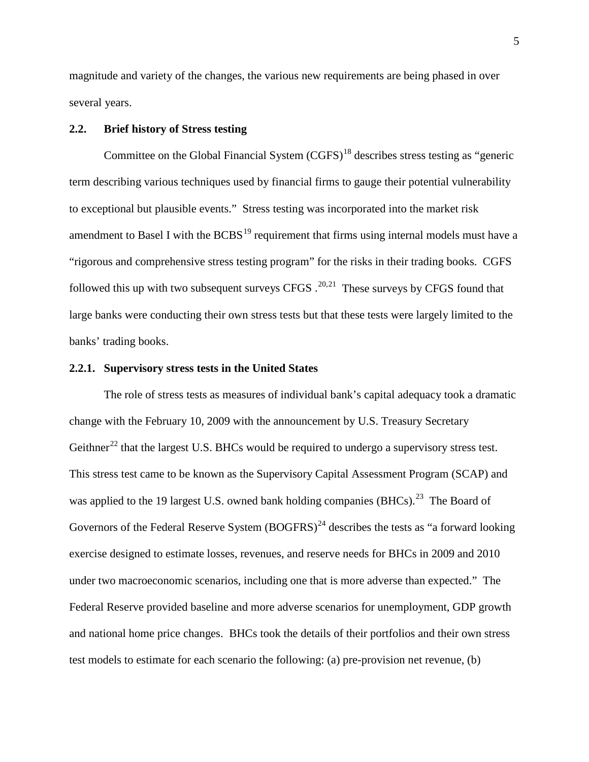magnitude and variety of the changes, the various new requirements are being phased in over several years.

# **2.2. Brief history of Stress testing**

Committee on the Global Financial System (CGFS)<sup>[18](#page-20-6)</sup> describes stress testing as "generic term describing various techniques used by financial firms to gauge their potential vulnerability to exceptional but plausible events." Stress testing was incorporated into the market risk amendment to Basel I with the  $BCBS<sup>19</sup>$  $BCBS<sup>19</sup>$  $BCBS<sup>19</sup>$  requirement that firms using internal models must have a "rigorous and comprehensive stress testing program" for the risks in their trading books. CGFS followed this up with two subsequent surveys CFGS  $.^{20,21}$  $.^{20,21}$  $.^{20,21}$  These surveys by CFGS found that large banks were conducting their own stress tests but that these tests were largely limited to the banks' trading books.

#### **2.2.1. Supervisory stress tests in the United States**

The role of stress tests as measures of individual bank's capital adequacy took a dramatic change with the February 10, 2009 with the announcement by U.S. Treasury Secretary Geithner<sup>[22](#page-20-10)</sup> that the largest U.S. BHCs would be required to undergo a supervisory stress test. This stress test came to be known as the Supervisory Capital Assessment Program (SCAP) and was applied to the 19 largest U.S. owned bank holding companies (BHCs).<sup>23</sup> The Board of Governors of the Federal Reserve System  $(BOGFRS)^{24}$  $(BOGFRS)^{24}$  $(BOGFRS)^{24}$  describes the tests as "a forward looking exercise designed to estimate losses, revenues, and reserve needs for BHCs in 2009 and 2010 under two macroeconomic scenarios, including one that is more adverse than expected." The Federal Reserve provided baseline and more adverse scenarios for unemployment, GDP growth and national home price changes. BHCs took the details of their portfolios and their own stress test models to estimate for each scenario the following: (a) pre-provision net revenue, (b)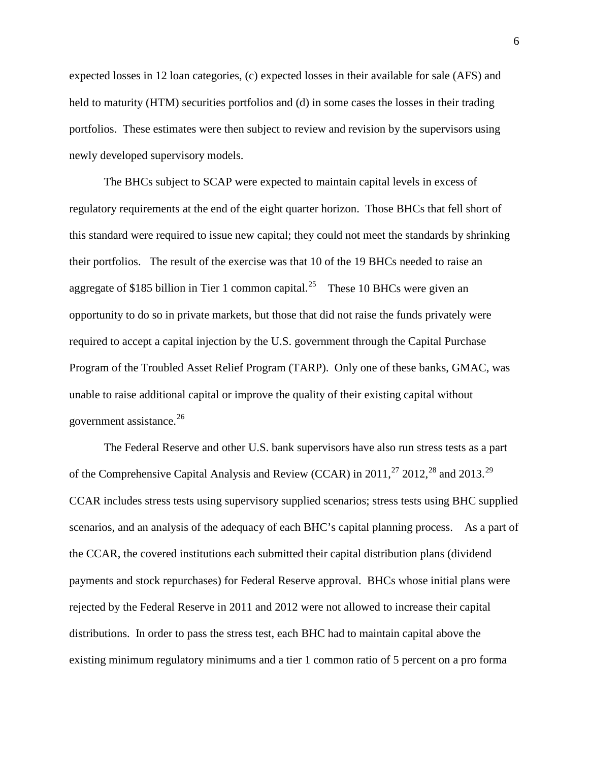expected losses in 12 loan categories, (c) expected losses in their available for sale (AFS) and held to maturity (HTM) securities portfolios and (d) in some cases the losses in their trading portfolios. These estimates were then subject to review and revision by the supervisors using newly developed supervisory models.

The BHCs subject to SCAP were expected to maintain capital levels in excess of regulatory requirements at the end of the eight quarter horizon. Those BHCs that fell short of this standard were required to issue new capital; they could not meet the standards by shrinking their portfolios. The result of the exercise was that 10 of the 19 BHCs needed to raise an aggregate of \$185 billion in Tier 1 common capital.<sup>25</sup> These 10 BHCs were given an opportunity to do so in private markets, but those that did not raise the funds privately were required to accept a capital injection by the U.S. government through the Capital Purchase Program of the Troubled Asset Relief Program (TARP). Only one of these banks, GMAC, was unable to raise additional capital or improve the quality of their existing capital without government assistance. $^{26}$  $^{26}$  $^{26}$ 

The Federal Reserve and other U.S. bank supervisors have also run stress tests as a part of the Comprehensive Capital Analysis and Review (CCAR) in 2011,<sup>[27](#page-20-15)</sup> 2012,<sup>[28](#page-20-16)</sup> and 2013.<sup>29</sup> CCAR includes stress tests using supervisory supplied scenarios; stress tests using BHC supplied scenarios, and an analysis of the adequacy of each BHC's capital planning process. As a part of the CCAR, the covered institutions each submitted their capital distribution plans (dividend payments and stock repurchases) for Federal Reserve approval. BHCs whose initial plans were rejected by the Federal Reserve in 2011 and 2012 were not allowed to increase their capital distributions. In order to pass the stress test, each BHC had to maintain capital above the existing minimum regulatory minimums and a tier 1 common ratio of 5 percent on a pro forma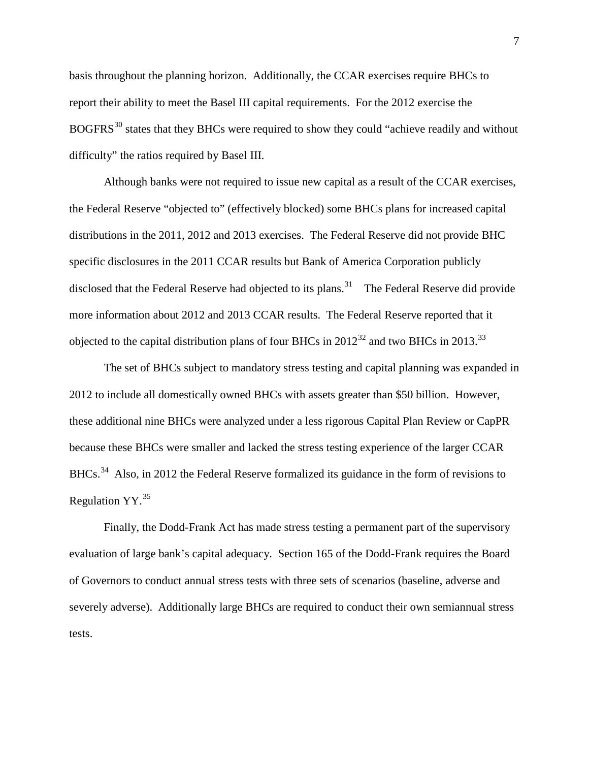basis throughout the planning horizon. Additionally, the CCAR exercises require BHCs to report their ability to meet the Basel III capital requirements. For the 2012 exercise the BOGFRS<sup>[30](#page-20-18)</sup> states that they BHCs were required to show they could "achieve readily and without difficulty" the ratios required by Basel III.

Although banks were not required to issue new capital as a result of the CCAR exercises, the Federal Reserve "objected to" (effectively blocked) some BHCs plans for increased capital distributions in the 2011, 2012 and 2013 exercises. The Federal Reserve did not provide BHC specific disclosures in the 2011 CCAR results but Bank of America Corporation publicly disclosed that the Federal Reserve had objected to its plans.<sup>31</sup> The Federal Reserve did provide more information about 2012 and 2013 CCAR results. The Federal Reserve reported that it objected to the capital distribution plans of four BHCs in  $2012^{32}$  $2012^{32}$  $2012^{32}$  and two BHCs in  $2013$ .<sup>[33](#page-20-21)</sup>

The set of BHCs subject to mandatory stress testing and capital planning was expanded in 2012 to include all domestically owned BHCs with assets greater than \$50 billion. However, these additional nine BHCs were analyzed under a less rigorous Capital Plan Review or CapPR because these BHCs were smaller and lacked the stress testing experience of the larger CCAR BHCs.<sup>[34](#page-20-22)</sup> Also, in 2012 the Federal Reserve formalized its guidance in the form of revisions to Regulation YY.<sup>[35](#page-20-23)</sup>

Finally, the Dodd-Frank Act has made stress testing a permanent part of the supervisory evaluation of large bank's capital adequacy. Section 165 of the Dodd-Frank requires the Board of Governors to conduct annual stress tests with three sets of scenarios (baseline, adverse and severely adverse). Additionally large BHCs are required to conduct their own semiannual stress tests.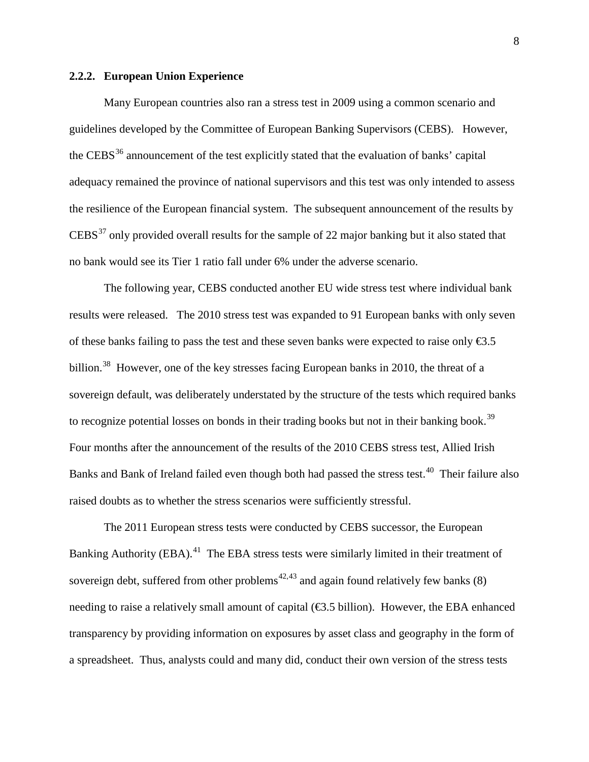#### **2.2.2. European Union Experience**

Many European countries also ran a stress test in 2009 using a common scenario and guidelines developed by the Committee of European Banking Supervisors (CEBS). However, the CEBS<sup>[36](#page-20-24)</sup> announcement of the test explicitly stated that the evaluation of banks' capital adequacy remained the province of national supervisors and this test was only intended to assess the resilience of the European financial system. The subsequent announcement of the results by CEBS<sup>[37](#page-20-25)</sup> only provided overall results for the sample of 22 major banking but it also stated that no bank would see its Tier 1 ratio fall under 6% under the adverse scenario.

The following year, CEBS conducted another EU wide stress test where individual bank results were released. The 2010 stress test was expanded to 91 European banks with only seven of these banks failing to pass the test and these seven banks were expected to raise only  $\epsilon$ 3.5 billion.<sup>38</sup> However, one of the key stresses facing European banks in 2010, the threat of a sovereign default, was deliberately understated by the structure of the tests which required banks to recognize potential losses on bonds in their trading books but not in their banking book.<sup>[39](#page-20-27)</sup> Four months after the announcement of the results of the 2010 CEBS stress test, Allied Irish Banks and Bank of Ireland failed even though both had passed the stress test.<sup>[40](#page-20-28)</sup> Their failure also raised doubts as to whether the stress scenarios were sufficiently stressful.

The 2011 European stress tests were conducted by CEBS successor, the European Banking Authority (EBA).<sup>[41](#page-20-7)</sup> The EBA stress tests were similarly limited in their treatment of sovereign debt, suffered from other problems<sup>[42,](#page-20-10)[43](#page-20-11)</sup> and again found relatively few banks  $(8)$ needing to raise a relatively small amount of capital  $(\mathcal{L}3.5 \text{ billion})$ . However, the EBA enhanced transparency by providing information on exposures by asset class and geography in the form of a spreadsheet. Thus, analysts could and many did, conduct their own version of the stress tests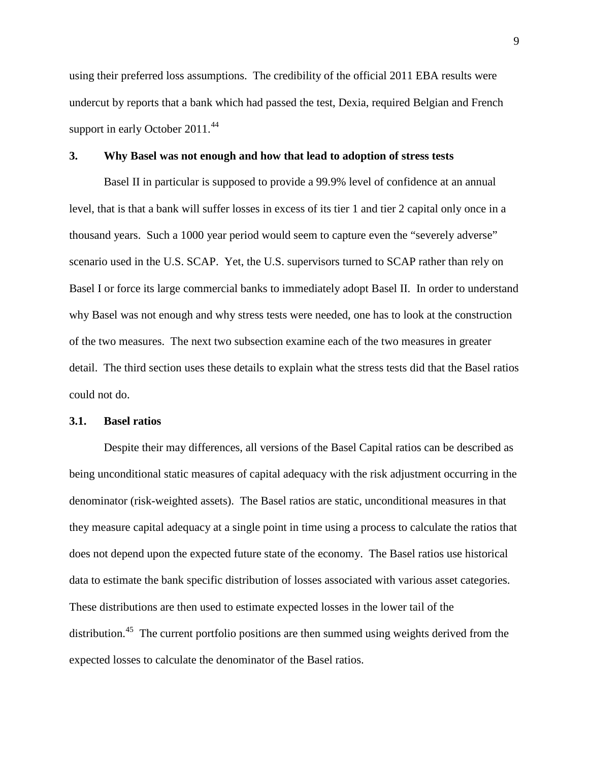using their preferred loss assumptions. The credibility of the official 2011 EBA results were undercut by reports that a bank which had passed the test, Dexia, required Belgian and French support in early October 2011.<sup>44</sup>

#### **3. Why Basel was not enough and how that lead to adoption of stress tests**

Basel II in particular is supposed to provide a 99.9% level of confidence at an annual level, that is that a bank will suffer losses in excess of its tier 1 and tier 2 capital only once in a thousand years. Such a 1000 year period would seem to capture even the "severely adverse" scenario used in the U.S. SCAP. Yet, the U.S. supervisors turned to SCAP rather than rely on Basel I or force its large commercial banks to immediately adopt Basel II. In order to understand why Basel was not enough and why stress tests were needed, one has to look at the construction of the two measures. The next two subsection examine each of the two measures in greater detail. The third section uses these details to explain what the stress tests did that the Basel ratios could not do.

#### **3.1. Basel ratios**

Despite their may differences, all versions of the Basel Capital ratios can be described as being unconditional static measures of capital adequacy with the risk adjustment occurring in the denominator (risk-weighted assets). The Basel ratios are static, unconditional measures in that they measure capital adequacy at a single point in time using a process to calculate the ratios that does not depend upon the expected future state of the economy. The Basel ratios use historical data to estimate the bank specific distribution of losses associated with various asset categories. These distributions are then used to estimate expected losses in the lower tail of the distribution.<sup>45</sup> The current portfolio positions are then summed using weights derived from the expected losses to calculate the denominator of the Basel ratios.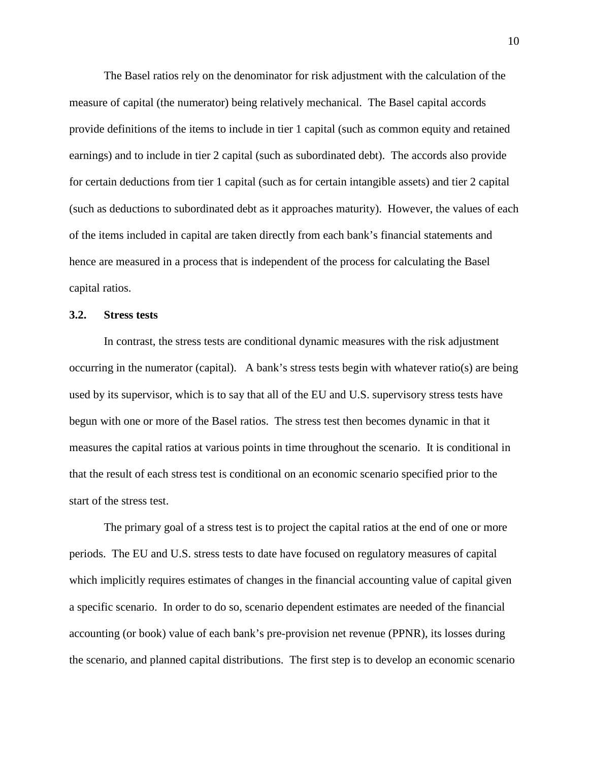The Basel ratios rely on the denominator for risk adjustment with the calculation of the measure of capital (the numerator) being relatively mechanical. The Basel capital accords provide definitions of the items to include in tier 1 capital (such as common equity and retained earnings) and to include in tier 2 capital (such as subordinated debt). The accords also provide for certain deductions from tier 1 capital (such as for certain intangible assets) and tier 2 capital (such as deductions to subordinated debt as it approaches maturity). However, the values of each of the items included in capital are taken directly from each bank's financial statements and hence are measured in a process that is independent of the process for calculating the Basel capital ratios.

#### **3.2. Stress tests**

In contrast, the stress tests are conditional dynamic measures with the risk adjustment occurring in the numerator (capital). A bank's stress tests begin with whatever ratio(s) are being used by its supervisor, which is to say that all of the EU and U.S. supervisory stress tests have begun with one or more of the Basel ratios. The stress test then becomes dynamic in that it measures the capital ratios at various points in time throughout the scenario. It is conditional in that the result of each stress test is conditional on an economic scenario specified prior to the start of the stress test.

The primary goal of a stress test is to project the capital ratios at the end of one or more periods. The EU and U.S. stress tests to date have focused on regulatory measures of capital which implicitly requires estimates of changes in the financial accounting value of capital given a specific scenario. In order to do so, scenario dependent estimates are needed of the financial accounting (or book) value of each bank's pre-provision net revenue (PPNR), its losses during the scenario, and planned capital distributions. The first step is to develop an economic scenario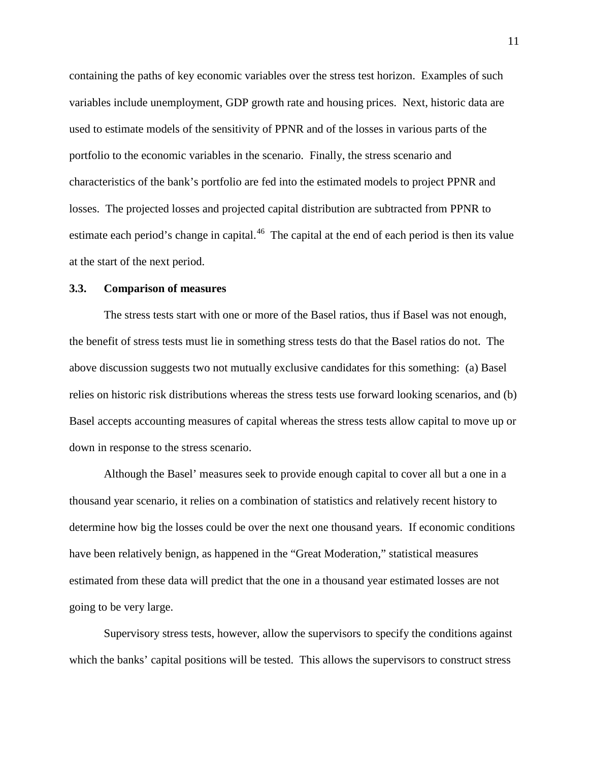containing the paths of key economic variables over the stress test horizon. Examples of such variables include unemployment, GDP growth rate and housing prices. Next, historic data are used to estimate models of the sensitivity of PPNR and of the losses in various parts of the portfolio to the economic variables in the scenario. Finally, the stress scenario and characteristics of the bank's portfolio are fed into the estimated models to project PPNR and losses. The projected losses and projected capital distribution are subtracted from PPNR to estimate each period's change in capital.<sup>[46](#page-20-14)</sup> The capital at the end of each period is then its value at the start of the next period.

#### **3.3. Comparison of measures**

The stress tests start with one or more of the Basel ratios, thus if Basel was not enough, the benefit of stress tests must lie in something stress tests do that the Basel ratios do not. The above discussion suggests two not mutually exclusive candidates for this something: (a) Basel relies on historic risk distributions whereas the stress tests use forward looking scenarios, and (b) Basel accepts accounting measures of capital whereas the stress tests allow capital to move up or down in response to the stress scenario.

Although the Basel' measures seek to provide enough capital to cover all but a one in a thousand year scenario, it relies on a combination of statistics and relatively recent history to determine how big the losses could be over the next one thousand years. If economic conditions have been relatively benign, as happened in the "Great Moderation," statistical measures estimated from these data will predict that the one in a thousand year estimated losses are not going to be very large.

Supervisory stress tests, however, allow the supervisors to specify the conditions against which the banks' capital positions will be tested. This allows the supervisors to construct stress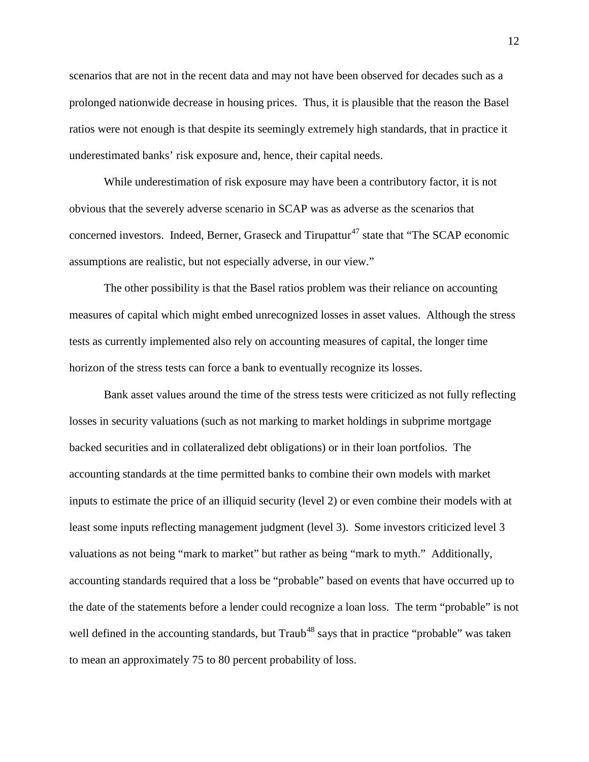scenarios that are not in the recent data and may not have been observed for decades such as a prolonged nationwide decrease in housing prices. Thus, it is plausible that the reason the Basel ratios were not enough is that despite its seemingly extremely high standards, that in practice it underestimated banks' risk exposure and, hence, their capital needs.

While underestimation of risk exposure may have been a contributory factor, it is not obvious that the severely adverse scenario in SCAP was as adverse as the scenarios that concerned investors. Indeed, Berner, Graseck and Tirupattur<sup>[47](#page-20-15)</sup> state that "The SCAP economic assumptions are realistic, but not especially adverse, in our view."

The other possibility is that the Basel ratios problem was their reliance on accounting measures of capital which might embed unrecognized losses in asset values. Although the stress tests as currently implemented also rely on accounting measures of capital, the longer time horizon of the stress tests can force a bank to eventually recognize its losses.

Bank asset values around the time of the stress tests were criticized as not fully reflecting losses in security valuations (such as not marking to market holdings in subprime mortgage backed securities and in collateralized debt obligations) or in their loan portfolios. The accounting standards at the time permitted banks to combine their own models with market inputs to estimate the price of an illiquid security (level 2) or even combine their models with at least some inputs reflecting management judgment (level 3). Some investors criticized level 3 valuations as not being "mark to market" but rather as being "mark to myth." Additionally, accounting standards required that a loss be "probable" based on events that have occurred up to the date of the statements before a lender could recognize a loan loss. The term "probable" is not well defined in the accounting standards, but Traub<sup>[48](#page-20-16)</sup> says that in practice "probable" was taken to mean an approximately 75 to 80 percent probability of loss.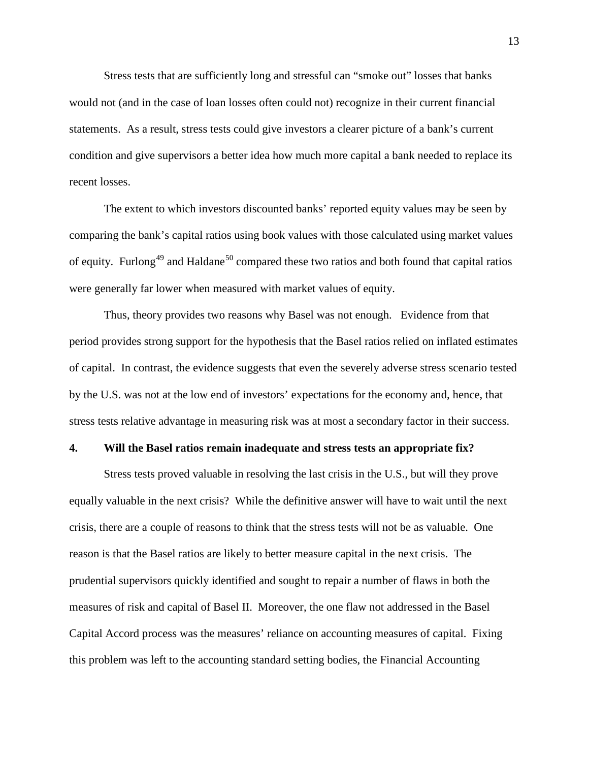Stress tests that are sufficiently long and stressful can "smoke out" losses that banks would not (and in the case of loan losses often could not) recognize in their current financial statements. As a result, stress tests could give investors a clearer picture of a bank's current condition and give supervisors a better idea how much more capital a bank needed to replace its recent losses.

The extent to which investors discounted banks' reported equity values may be seen by comparing the bank's capital ratios using book values with those calculated using market values of equity. Furlong<sup>[49](#page-20-17)</sup> and Haldane<sup>[50](#page-20-31)</sup> compared these two ratios and both found that capital ratios were generally far lower when measured with market values of equity.

Thus, theory provides two reasons why Basel was not enough. Evidence from that period provides strong support for the hypothesis that the Basel ratios relied on inflated estimates of capital. In contrast, the evidence suggests that even the severely adverse stress scenario tested by the U.S. was not at the low end of investors' expectations for the economy and, hence, that stress tests relative advantage in measuring risk was at most a secondary factor in their success.

#### **4. Will the Basel ratios remain inadequate and stress tests an appropriate fix?**

Stress tests proved valuable in resolving the last crisis in the U.S., but will they prove equally valuable in the next crisis? While the definitive answer will have to wait until the next crisis, there are a couple of reasons to think that the stress tests will not be as valuable. One reason is that the Basel ratios are likely to better measure capital in the next crisis. The prudential supervisors quickly identified and sought to repair a number of flaws in both the measures of risk and capital of Basel II. Moreover, the one flaw not addressed in the Basel Capital Accord process was the measures' reliance on accounting measures of capital. Fixing this problem was left to the accounting standard setting bodies, the Financial Accounting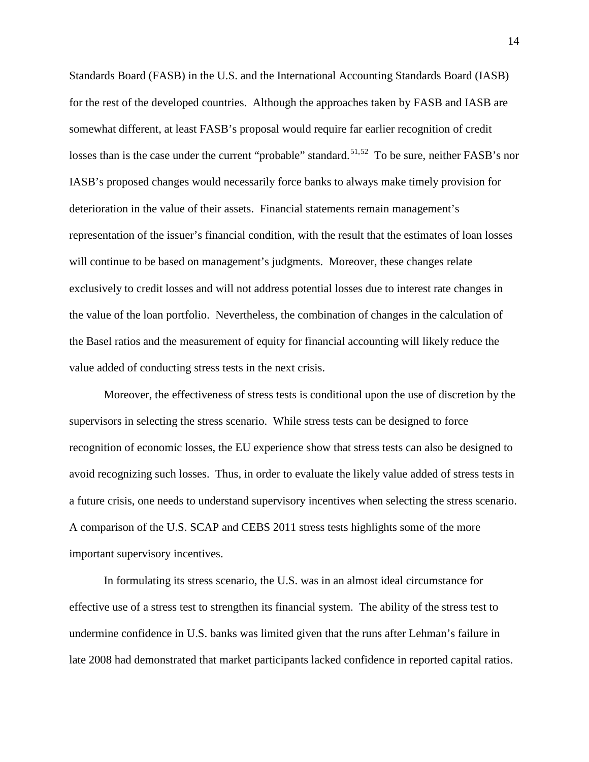Standards Board (FASB) in the U.S. and the International Accounting Standards Board (IASB) for the rest of the developed countries. Although the approaches taken by FASB and IASB are somewhat different, at least FASB's proposal would require far earlier recognition of credit losses than is the case under the current "probable" standard.<sup>[51](#page-20-32),[52](#page-20-20)</sup> To be sure, neither FASB's nor IASB's proposed changes would necessarily force banks to always make timely provision for deterioration in the value of their assets. Financial statements remain management's representation of the issuer's financial condition, with the result that the estimates of loan losses will continue to be based on management's judgments. Moreover, these changes relate exclusively to credit losses and will not address potential losses due to interest rate changes in the value of the loan portfolio. Nevertheless, the combination of changes in the calculation of the Basel ratios and the measurement of equity for financial accounting will likely reduce the value added of conducting stress tests in the next crisis.

Moreover, the effectiveness of stress tests is conditional upon the use of discretion by the supervisors in selecting the stress scenario. While stress tests can be designed to force recognition of economic losses, the EU experience show that stress tests can also be designed to avoid recognizing such losses. Thus, in order to evaluate the likely value added of stress tests in a future crisis, one needs to understand supervisory incentives when selecting the stress scenario. A comparison of the U.S. SCAP and CEBS 2011 stress tests highlights some of the more important supervisory incentives.

In formulating its stress scenario, the U.S. was in an almost ideal circumstance for effective use of a stress test to strengthen its financial system. The ability of the stress test to undermine confidence in U.S. banks was limited given that the runs after Lehman's failure in late 2008 had demonstrated that market participants lacked confidence in reported capital ratios.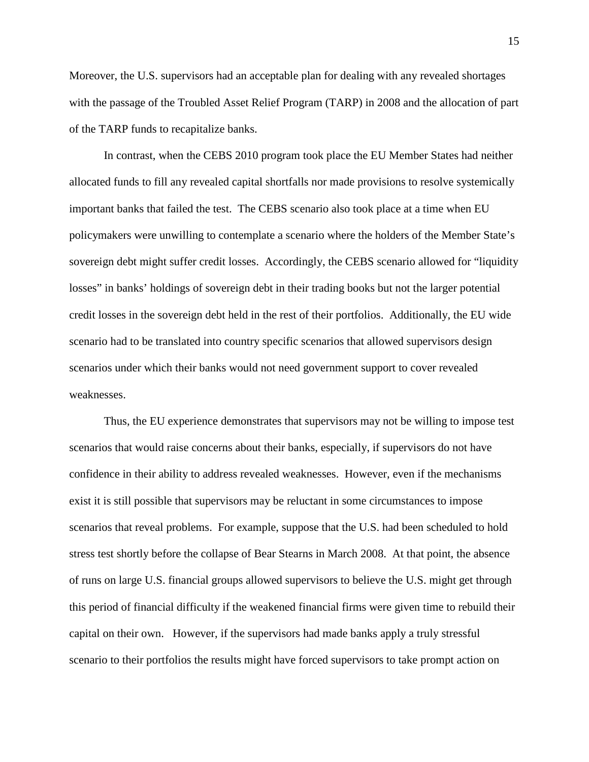Moreover, the U.S. supervisors had an acceptable plan for dealing with any revealed shortages with the passage of the Troubled Asset Relief Program (TARP) in 2008 and the allocation of part of the TARP funds to recapitalize banks.

In contrast, when the CEBS 2010 program took place the EU Member States had neither allocated funds to fill any revealed capital shortfalls nor made provisions to resolve systemically important banks that failed the test. The CEBS scenario also took place at a time when EU policymakers were unwilling to contemplate a scenario where the holders of the Member State's sovereign debt might suffer credit losses. Accordingly, the CEBS scenario allowed for "liquidity losses" in banks' holdings of sovereign debt in their trading books but not the larger potential credit losses in the sovereign debt held in the rest of their portfolios. Additionally, the EU wide scenario had to be translated into country specific scenarios that allowed supervisors design scenarios under which their banks would not need government support to cover revealed weaknesses.

Thus, the EU experience demonstrates that supervisors may not be willing to impose test scenarios that would raise concerns about their banks, especially, if supervisors do not have confidence in their ability to address revealed weaknesses. However, even if the mechanisms exist it is still possible that supervisors may be reluctant in some circumstances to impose scenarios that reveal problems. For example, suppose that the U.S. had been scheduled to hold stress test shortly before the collapse of Bear Stearns in March 2008. At that point, the absence of runs on large U.S. financial groups allowed supervisors to believe the U.S. might get through this period of financial difficulty if the weakened financial firms were given time to rebuild their capital on their own. However, if the supervisors had made banks apply a truly stressful scenario to their portfolios the results might have forced supervisors to take prompt action on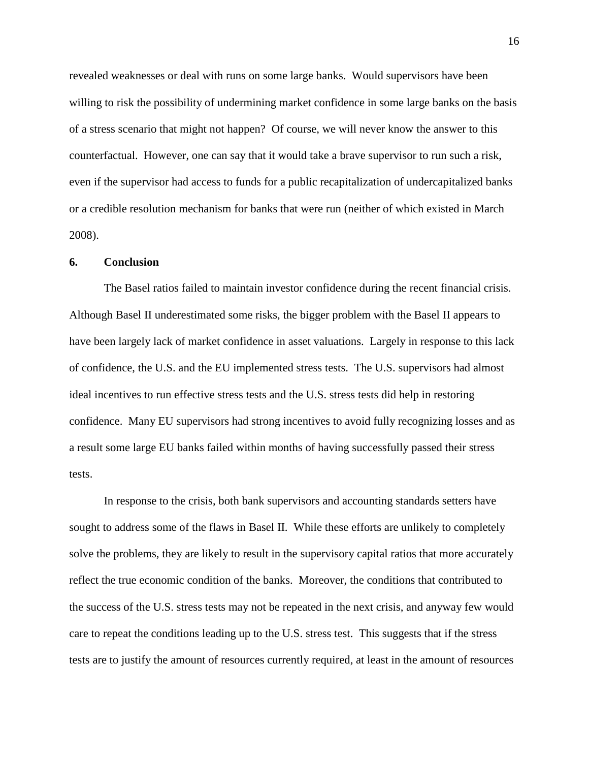revealed weaknesses or deal with runs on some large banks. Would supervisors have been willing to risk the possibility of undermining market confidence in some large banks on the basis of a stress scenario that might not happen? Of course, we will never know the answer to this counterfactual. However, one can say that it would take a brave supervisor to run such a risk, even if the supervisor had access to funds for a public recapitalization of undercapitalized banks or a credible resolution mechanism for banks that were run (neither of which existed in March 2008).

#### **6. Conclusion**

The Basel ratios failed to maintain investor confidence during the recent financial crisis. Although Basel II underestimated some risks, the bigger problem with the Basel II appears to have been largely lack of market confidence in asset valuations. Largely in response to this lack of confidence, the U.S. and the EU implemented stress tests. The U.S. supervisors had almost ideal incentives to run effective stress tests and the U.S. stress tests did help in restoring confidence. Many EU supervisors had strong incentives to avoid fully recognizing losses and as a result some large EU banks failed within months of having successfully passed their stress tests.

In response to the crisis, both bank supervisors and accounting standards setters have sought to address some of the flaws in Basel II. While these efforts are unlikely to completely solve the problems, they are likely to result in the supervisory capital ratios that more accurately reflect the true economic condition of the banks. Moreover, the conditions that contributed to the success of the U.S. stress tests may not be repeated in the next crisis, and anyway few would care to repeat the conditions leading up to the U.S. stress test. This suggests that if the stress tests are to justify the amount of resources currently required, at least in the amount of resources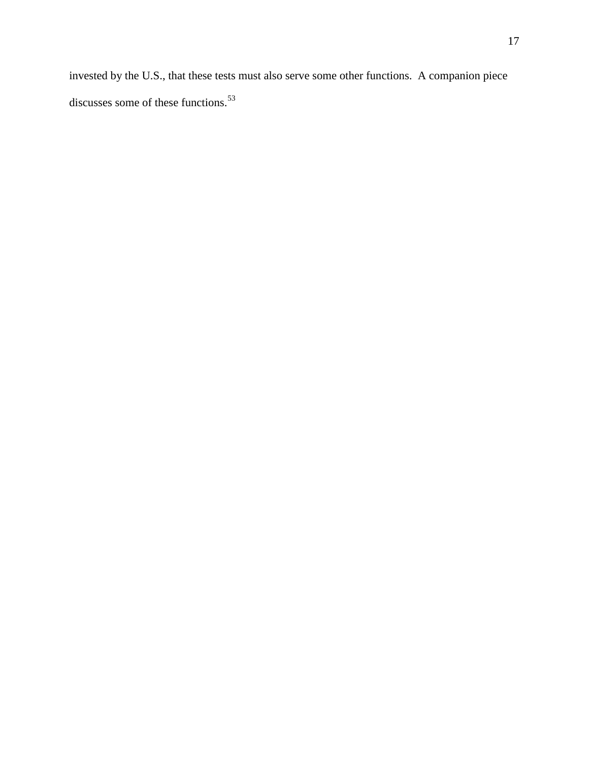invested by the U.S., that these tests must also serve some other functions. A companion piece discusses some of these functions.<sup>[53](#page-20-21)</sup>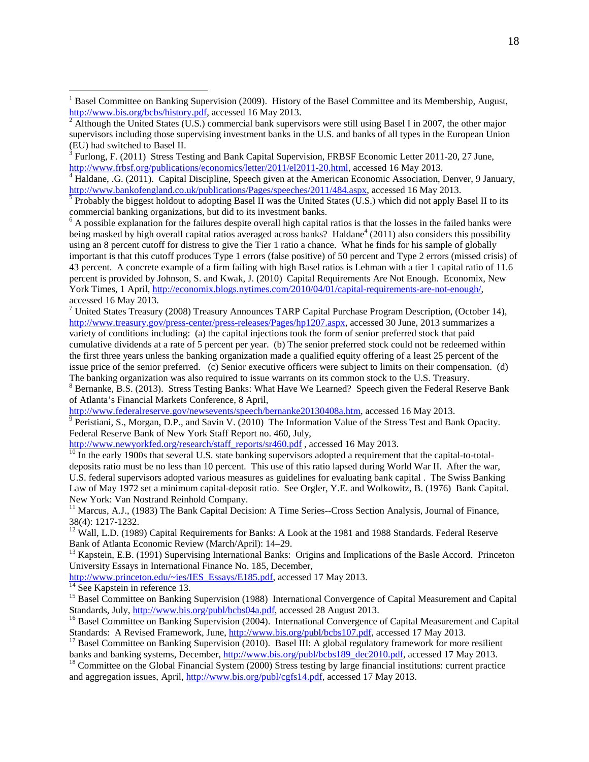<sup>3</sup> Furlong, F. (2011) Stress Testing and Bank Capital Supervision, FRBSF Economic Letter 2011-20, 27 June,

<span id="page-18-3"></span><span id="page-18-2"></span>[http://www.frbsf.org/publications/economics/letter/2011/el2011-20.html,](http://www.frbsf.org/publications/economics/letter/2011/el2011-20.html) accessed 16 May 2013.<br><sup>4</sup> Haldane, .G. (2011). Capital Discipline, Speech given at the American Economic Association, Denver, 9 January, http://www.ba

<span id="page-18-4"></span><sup>5</sup> Probably the biggest holdout to adopting Basel II was the United States (U.S.) which did not apply Basel II to its commercial banking organizations, but did to its investment banks.

<span id="page-18-5"></span> $<sup>6</sup>$  A possible explanation for the failures despite overall high capital ratios is that the losses in the failed banks were</sup> being masked by high overall capital ratios averaged across banks? Haldane<sup>4</sup> (2011) also considers this possibility using an 8 percent cutoff for distress to give the Tier 1 ratio a chance. What he finds for his sample of globally important is that this cutoff produces Type 1 errors (false positive) of 50 percent and Type 2 errors (missed crisis) of 43 percent. A concrete example of a firm failing with high Basel ratios is Lehman with a tier 1 capital ratio of 11.6 percent is provided by Johnson, S. and Kwak, J. (2010) Capital Requirements Are Not Enough. Economix, New York Times, 1 April[, http://economix.blogs.nytimes.com/2010/04/01/capital-requirements-are-not-enough/,](http://economix.blogs.nytimes.com/2010/04/01/capital-requirements-are-not-enough/)  accessed 16 May 2013.

<sup>7</sup> United States Treasury (2008) Treasury Announces TARP Capital Purchase Program Description, (October 14), [http://www.treasury.gov/press-center/press-releases/Pages/hp1207.aspx,](http://www.treasury.gov/press-center/press-releases/Pages/hp1207.aspx) accessed 30 June, 2013 summarizes a variety of conditions including: (a) the capital injections took the form of senior preferred stock that paid cumulative dividends at a rate of 5 percent per year. (b) The senior preferred stock could not be redeemed within the first three years unless the banking organization made a qualified equity offering of a least 25 percent of the issue price of the senior preferred. (c) Senior executive officers were subject to limits on their compensation. (d)

The banking organization was also required to issue warrants on its common stock to the U.S. Treasury.<br><sup>8</sup> Bernanke, B.S. (2013). Stress Testing Banks: What Have We Learned? Speech given the Federal Reserve Bank

of Atlanta's Financial Markets Conference, 8 April,<br>http://www.federalreserve.gov/newsevents/speech/bernanke20130408a.htm, accessed 16 May 2013.

 $\frac{1}{9}$  Peristiani, S., Morgan, D.P., and Savin V. (2010) The Information Value of the Stress Test and Bank Opacity. Federal Reserve Bank of New York Staff Report no. 460, July,<br>http://www.newyorkfed.org/research/staff\_reports/sr460.pdf, accessed 16 May 2013.

 $\frac{10}{10}$  In the early 1900s that several U.S. state banking supervisors adopted a requirement that the capital-to-totaldeposits ratio must be no less than 10 percent. This use of this ratio lapsed during World War II. After the war, U.S. federal supervisors adopted various measures as guidelines for evaluating bank capital . The Swiss Banking Law of May 1972 set a minimum capital-deposit ratio. See Orgler, Y.E. and Wolkowitz, B. (1976) Bank Capital. New York: Van Nostrand Reinhold Company.

<sup>11</sup> Marcus, A.J., (1983) The Bank Capital Decision: A Time Series--Cross Section Analysis, Journal of Finance, 38(4): 1217-1232.

<sup>12</sup> Wall, L.D. (1989) Capital Requirements for Banks: A Look at the 1981 and 1988 Standards. Federal Reserve Bank of Atlanta Economic Review (March/April): 14–29.

 $^{13}$  Kapstein, E.B. (1991) Supervising International Banks: Origins and Implications of the Basle Accord. Princeton University Essays in International Finance No. 185, December,<br>http://www.princeton.edu/~ies/IES\_Essays/E185.pdf, accessed 17 May 2013.

 $\overline{a}$ 

<sup>14</sup> See Kapstein in reference 13.<br><sup>15</sup> Basel Committee on Banking Supervision (1988) International Convergence of Capital Measurement and Capital Standards, July,  $\frac{http://www.bis.org/public/cbs04a.pdf}{http://www.bis.org/public/cbs04a.pdf}$ , accessed 28 August 201

<sup>16</sup> Basel Committee on Banking Supervision (2004). International Convergence of Capital Measurement and Capital Standards: A Revised Framework, June, http://www.bis.org/publ/bcbs107.pdf, accessed 17 May 2013.

Standards: A Revised Framework, June, 1996, 1996.<br>
<sup>17</sup> Basel Committee on Banking Supervision (2010). Basel III: A global regulatory framework for more resilient banks and banking systems, December,  $\frac{http://www.bis.org/publicb>189~dec201$ 

 $^{18}$  Committee on the Global Financial System (2000) Stress testing by large financial institutions: current practice and aggregation issues, April[, http://www.bis.org/publ/cgfs14.pdf,](http://www.bis.org/publ/cgfs14.pdf) accessed 17 May 2013.

<span id="page-18-0"></span><sup>&</sup>lt;sup>1</sup> Basel Committee on Banking Supervision (2009). History of the Basel Committee and its Membership, August,  $\frac{http://www.bis.org/bobs/history.pdf}{http://www.bis.org/bobs/history.pdf}$ , accessed 16 May 2013.

<span id="page-18-1"></span>Although the United States (U.S.) commercial bank supervisors were still using Basel I in 2007, the other major supervisors including those supervising investment banks in the U.S. and banks of all types in the European Union (EU) had switched to Basel II.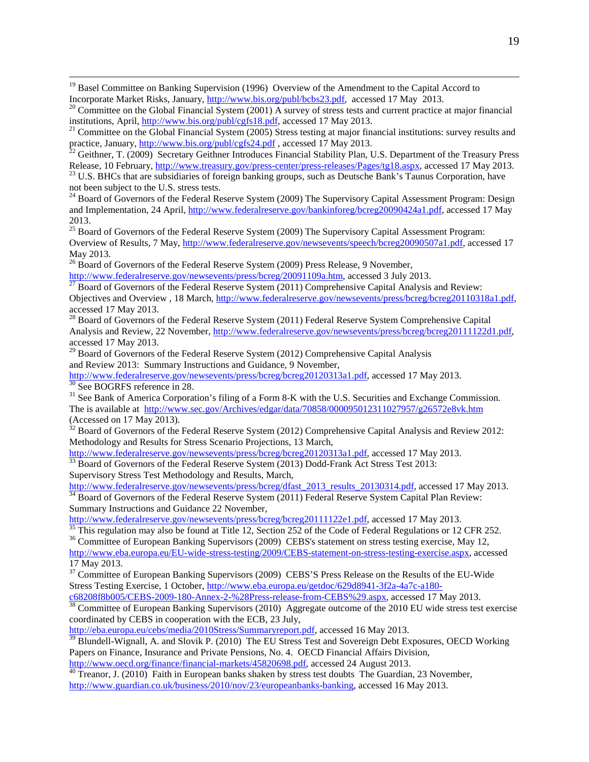<sup>19</sup> Basel Committee on Banking Supervision (1996) Overview of the Amendment to the Capital Accord to

<sup>25</sup> Board of Governors of the Federal Reserve System (2009) The Supervisory Capital Assessment Program: Overview of Results, 7 May, [http://www.federalreserve.gov/newsevents/speech/bcreg20090507a1.pdf,](http://www.federalreserve.gov/newsevents/speech/bcreg20090507a1.pdf) accessed 17 May 2013.

<sup>26</sup> Board of Governors of the Federal Reserve System (2009) Press Release, 9 November,  $\frac{http://www.federalreserve.gov/newsevents/press/bcreg/20091109a.htm}{http://www.federalreserve.gov/newsevents/press/bcreg/20091109a.htm}$ , accessed 3 July 2013.

 $\frac{1}{27}$  Board of Governors of the Federal Reserve System (2011) Comprehensive Capital Analysis and Review: Objectives and Overview , 18 March[, http://www.federalreserve.gov/newsevents/press/bcreg/bcreg20110318a1.pdf,](http://www.federalreserve.gov/newsevents/press/bcreg/bcreg20110318a1.pdf)  accessed 17 May 2013.

<span id="page-19-0"></span><sup>28</sup> Board of Governors of the Federal Reserve System (2011) Federal Reserve System Comprehensive Capital Analysis and Review, 22 November[, http://www.federalreserve.gov/newsevents/press/bcreg/bcreg20111122d1.pdf,](http://www.federalreserve.gov/newsevents/press/bcreg/bcreg20111122d1.pdf) accessed 17 May 2013.

<sup>29</sup> Board of Governors of the Federal Reserve System (2012) Comprehensive Capital Analysis and Review 2013: Summary Instructions and Guidance, 9 November,<br>http://www.federalreserve.gov/newsevents/press/bcreg/bcreg20120313a1.pdf, accessed 17 May 2013.

<span id="page-19-1"></span> $\frac{30}{30}$  See BOGRFS reference in 28.<br><sup>31</sup> See Bank of America Corporation's filing of a Form 8-K with the U.S. Securities and Exchange Commission.

The is available at <http://www.sec.gov/Archives/edgar/data/70858/000095012311027957/g26572e8vk.htm> (Accessed on 17 May 2013).

<span id="page-19-2"></span> $32$  Board of Governors of the Federal Reserve System (2012) Comprehensive Capital Analysis and Review 2012: Methodology and Results for Stress Scenario Projections, 13 March,<br>http://www.federalreserve.gov/newsevents/press/bcreg/bcreg20120313a1.pdf, accessed 17 May 2013.

<span id="page-19-3"></span> $\frac{33}{33}$  Board of Governors of the Federal Reserve System (2013) Dodd-Frank Act Stress Test 2013:

 $\overline{a}$ 

Supervisory Stress Test Methodology and Results, March,<br>http://www.federalreserve.gov/newsevents/press/bcreg/dfast 2013 results 20130314.pdf, accessed 17 May 2013.

<span id="page-19-4"></span><sup>34</sup> Board of Governors of the Federal Reserve System (2011) Federal Reserve System Capital Plan Review: Summary Instructions and Guidance 22 November,<br>http://www.federalreserve.gov/newsevents/press/bcreg/bcreg20111122e1.pdf, accessed 17 May 2013.

 $\frac{35}{35}$  This regulation may also be found at Title 12, Section 252 of the Code of Federal Regulations or 12 CFR 252.<br><sup>36</sup> Committee of European Banking Supervisors (2009) CEBS's statement on stress testing exercise, M

[http://www.eba.europa.eu/EU-wide-stress-testing/2009/CEBS-statement-on-stress-testing-exercise.aspx,](http://www.eba.europa.eu/EU-wide-stress-testing/2009/CEBS-statement-on-stress-testing-exercise.aspx) accessed 17 May 2013.

<sup>37</sup> Committee of European Banking Supervisors (2009) CEBS'S Press Release on the Results of the EU-Wide Stress Testing Exercise, 1 October, [http://www.eba.europa.eu/getdoc/629d8941-3f2a-4a7c-a180-](http://www.eba.europa.eu/getdoc/629d8941-3f2a-4a7c-a180-c68208f8b005/CEBS-2009-180-Annex-2-%28Press-release-from-CEBS%29.aspx)

[c68208f8b005/CEBS-2009-180-Annex-2-%28Press-release-from-CEBS%29.aspx,](http://www.eba.europa.eu/getdoc/629d8941-3f2a-4a7c-a180-c68208f8b005/CEBS-2009-180-Annex-2-%28Press-release-from-CEBS%29.aspx) accessed 17 May 2013. <sup>38</sup> Committee of European Banking Supervisors (2010) Aggregate outcome of the 2010 EU wide stress test exercise

coordinated by CEBS in cooperation with the ECB, 23 July,

[http://eba.europa.eu/cebs/media/2010Stress/Summaryreport.pdf,](http://eba.europa.eu/cebs/media/2010Stress/Summaryreport.pdf) accessed 16 May 2013.

<sup>39</sup> Blundell-Wignall, A. and Slovik P. (2010) The EU Stress Test and Sovereign Debt Exposures, OECD Working Papers on Finance, Insurance and Private Pensions, No. 4. OECD Financial Affairs Division, http://www.oecd.org/finance/financial-markets/45820698.pdf, accessed 24 August 2013.

 $\frac{40}{40}$  Treanor, J. (2010) Faith in European banks shaken by stress test doubts The Guardian, 23 November, [http://www.guardian.co.uk/business/2010/nov/23/europeanbanks-banking,](http://www.guardian.co.uk/business/2010/nov/23/europeanbanks-banking) accessed 16 May 2013.

Incorporate Market Risks, January, [http://www.bis.org/publ/bcbs23.pdf,](http://www.bis.org/publ/bcbs23.pdf) accessed 17 May 2013.<br><sup>20</sup> Committee on the Global Financial System (2001) A survey of stress tests and current practice at major financial institution

<sup>&</sup>lt;sup>21</sup> Committee on the Global Financial System (2005) Stress testing at major financial institutions: survey results and practice, January, http://www.bis.org/publ/cgfs24.pdf, accessed 17 May 2013.

<sup>&</sup>lt;sup>22</sup> Geithner, T. (2009) Secretary Geithner Introduces Financial Stability Plan, U.S. Department of the Treasury Press<br>Release, 10 February, http://www.treasury.gov/press-center/press-releases/Pages/tg18.aspx, accessed 17

<sup>&</sup>lt;sup>23</sup> U.S. BHCs that are subsidiaries of foreign banking groups, such as Deutsche Bank's Taunus Corporation, have not been subject to the U.S. stress tests.

 $^{24}$  Board of Governors of the Federal Reserve System (2009) The Supervisory Capital Assessment Program: Design and Implementation, 24 April, [http://www.federalreserve.gov/bankinforeg/bcreg20090424a1.pdf,](http://www.federalreserve.gov/bankinforeg/bcreg20090424a1.pdf) accessed 17 May 2013.